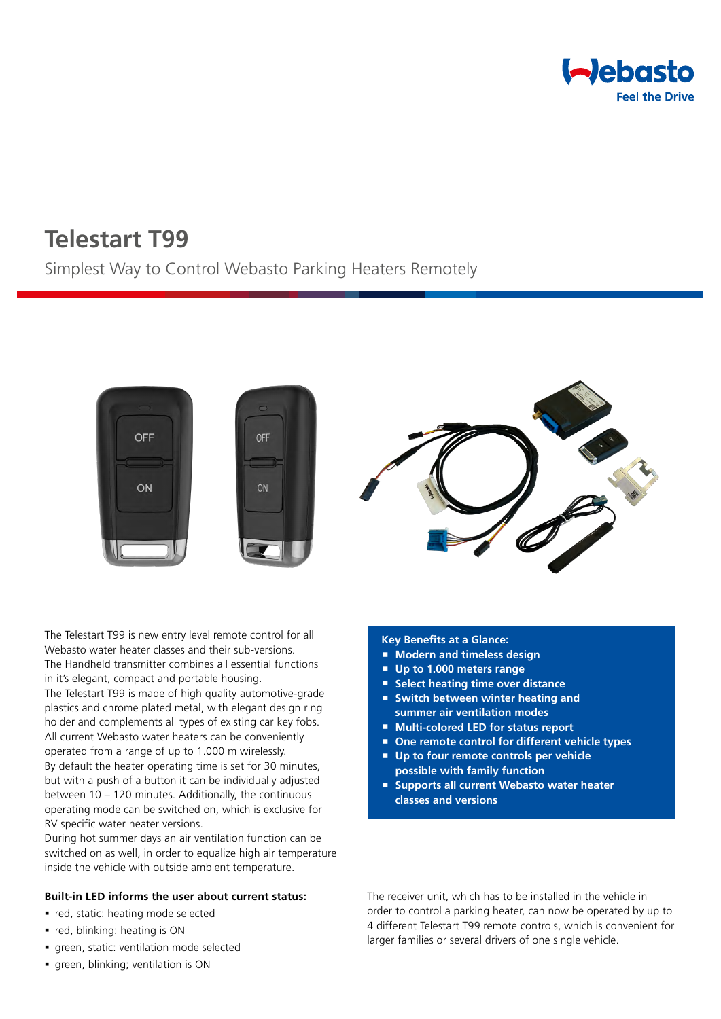

# **Telestart T99**

# Simplest Way to Control Webasto Parking Heaters Remotely



The Telestart T99 is new entry level remote control for all Webasto water heater classes and their sub-versions. The Handheld transmitter combines all essential functions in it's elegant, compact and portable housing.

The Telestart T99 is made of high quality automotive-grade plastics and chrome plated metal, with elegant design ring holder and complements all types of existing car key fobs. All current Webasto water heaters can be conveniently operated from a range of up to 1.000 m wirelessly. By default the heater operating time is set for 30 minutes, but with a push of a button it can be individually adjusted between 10 – 120 minutes. Additionally, the continuous operating mode can be switched on, which is exclusive for RV specific water heater versions.

During hot summer days an air ventilation function can be switched on as well, in order to equalize high air temperature inside the vehicle with outside ambient temperature.

#### **Built-in LED informs the user about current status:**

- red, static: heating mode selected
- red, blinking: heating is ON
- green, static: ventilation mode selected
- green, blinking; ventilation is ON

#### **Key Benefits at a Glance:**

- **Modern and timeless design**
- **Up to 1.000 meters range**
- **Select heating time over distance**
- **Switch between winter heating and summer air ventilation modes**
- **Multi-colored LED for status report**
- **One remote control for different vehicle types**
- **Up to four remote controls per vehicle**
- **possible with family function Supports all current Webasto water heater**
- **classes and versions**

The receiver unit, which has to be installed in the vehicle in order to control a parking heater, can now be operated by up to 4 different Telestart T99 remote controls, which is convenient for larger families or several drivers of one single vehicle.